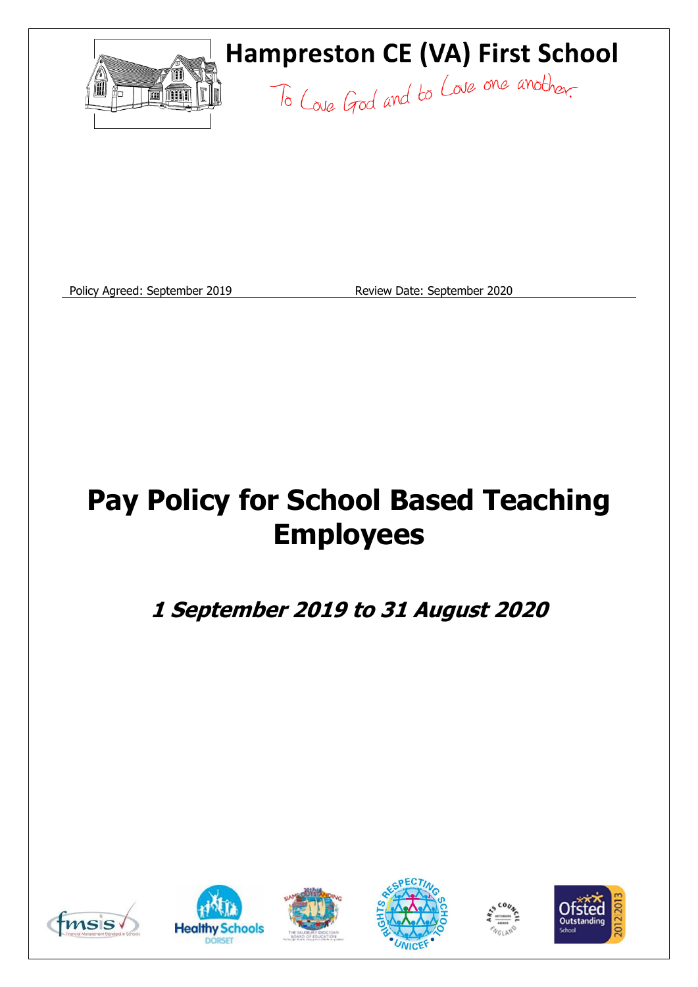

Policy Agreed: September 2019 Review Date: September 2020

# **Pay Policy for School Based Teaching Employees**

**1 September 2019 to 31 August 2020**











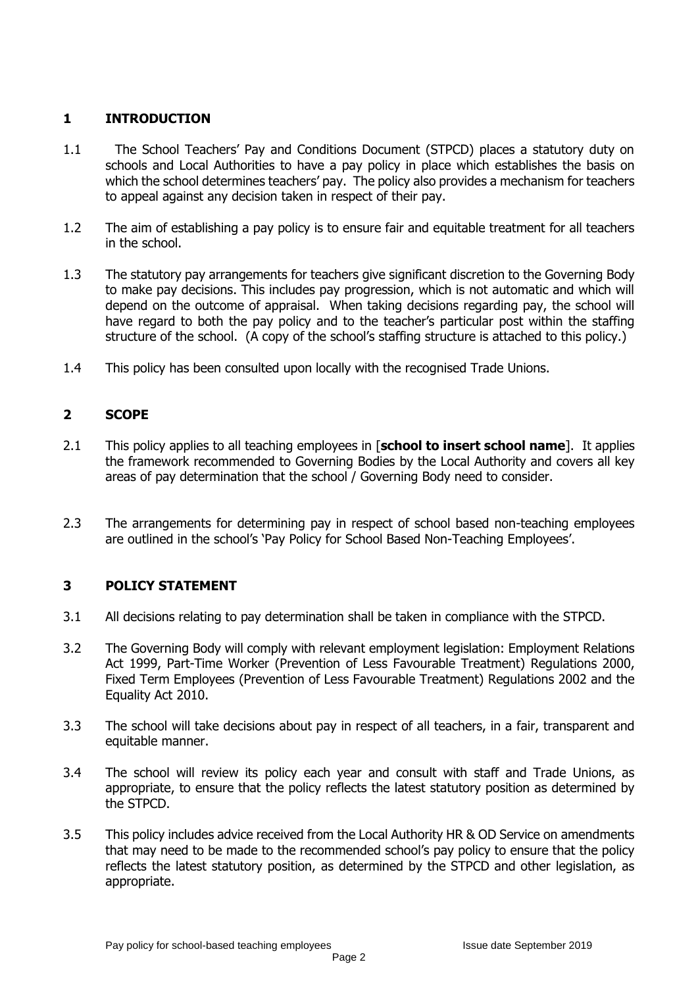# **1 INTRODUCTION**

- 1.1 The School Teachers' Pay and Conditions Document (STPCD) places a statutory duty on schools and Local Authorities to have a pay policy in place which establishes the basis on which the school determines teachers' pay. The policy also provides a mechanism for teachers to appeal against any decision taken in respect of their pay.
- 1.2 The aim of establishing a pay policy is to ensure fair and equitable treatment for all teachers in the school.
- 1.3 The statutory pay arrangements for teachers give significant discretion to the Governing Body to make pay decisions. This includes pay progression, which is not automatic and which will depend on the outcome of appraisal. When taking decisions regarding pay, the school will have regard to both the pay policy and to the teacher's particular post within the staffing structure of the school. (A copy of the school's staffing structure is attached to this policy.)
- 1.4 This policy has been consulted upon locally with the recognised Trade Unions.

# **2 SCOPE**

- 2.1 This policy applies to all teaching employees in [**school to insert school name**]. It applies the framework recommended to Governing Bodies by the Local Authority and covers all key areas of pay determination that the school / Governing Body need to consider.
- 2.3 The arrangements for determining pay in respect of school based non-teaching employees are outlined in the school's 'Pay Policy for School Based Non-Teaching Employees'.

# **3 POLICY STATEMENT**

- 3.1 All decisions relating to pay determination shall be taken in compliance with the STPCD.
- 3.2 The Governing Body will comply with relevant employment legislation: Employment Relations Act 1999, Part-Time Worker (Prevention of Less Favourable Treatment) Regulations 2000, Fixed Term Employees (Prevention of Less Favourable Treatment) Regulations 2002 and the Equality Act 2010.
- 3.3 The school will take decisions about pay in respect of all teachers, in a fair, transparent and equitable manner.
- 3.4 The school will review its policy each year and consult with staff and Trade Unions, as appropriate, to ensure that the policy reflects the latest statutory position as determined by the STPCD.
- 3.5 This policy includes advice received from the Local Authority HR & OD Service on amendments that may need to be made to the recommended school's pay policy to ensure that the policy reflects the latest statutory position, as determined by the STPCD and other legislation, as appropriate.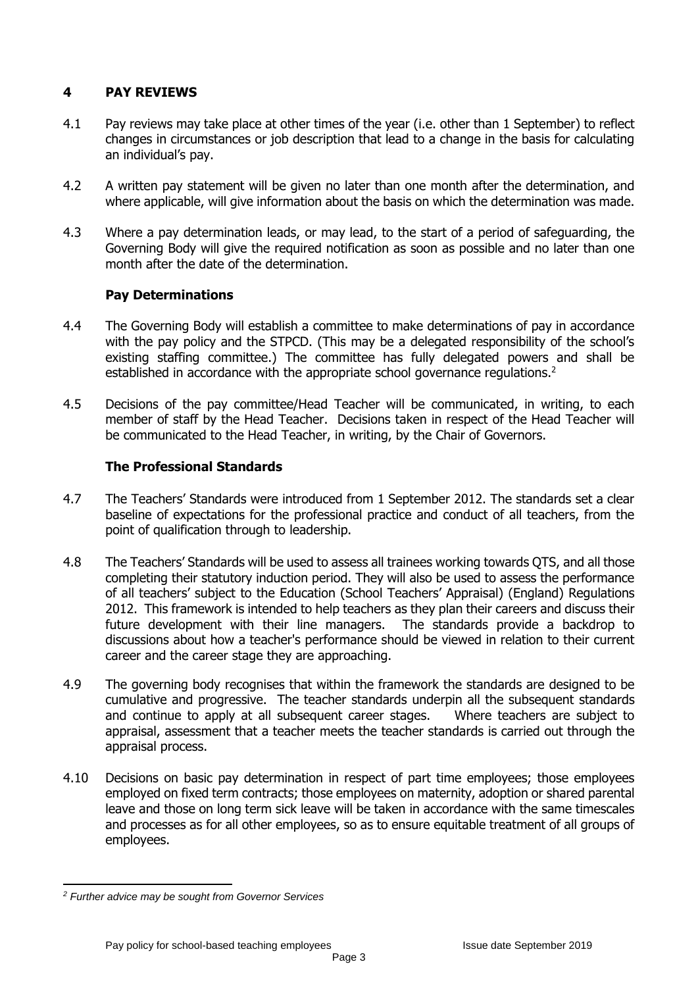# **4 PAY REVIEWS**

- 4.1 Pay reviews may take place at other times of the year (i.e. other than 1 September) to reflect changes in circumstances or job description that lead to a change in the basis for calculating an individual's pay.
- 4.2 A written pay statement will be given no later than one month after the determination, and where applicable, will give information about the basis on which the determination was made.
- 4.3 Where a pay determination leads, or may lead, to the start of a period of safeguarding, the Governing Body will give the required notification as soon as possible and no later than one month after the date of the determination.

# **Pay Determinations**

- 4.4 The Governing Body will establish a committee to make determinations of pay in accordance with the pay policy and the STPCD. (This may be a delegated responsibility of the school's existing staffing committee.) The committee has fully delegated powers and shall be established in accordance with the appropriate school governance regulations.<sup>2</sup>
- 4.5 Decisions of the pay committee/Head Teacher will be communicated, in writing, to each member of staff by the Head Teacher. Decisions taken in respect of the Head Teacher will be communicated to the Head Teacher, in writing, by the Chair of Governors.

# **The Professional Standards**

- 4.7 The Teachers' Standards were introduced from 1 September 2012. The standards set a clear baseline of expectations for the professional practice and conduct of all teachers, from the point of qualification through to leadership.
- 4.8 The Teachers' Standards will be used to assess all trainees working towards QTS, and all those completing their statutory induction period. They will also be used to assess the performance of all teachers' subject to the Education (School Teachers' Appraisal) (England) Regulations 2012. This framework is intended to help teachers as they plan their careers and discuss their future development with their line managers. The standards provide a backdrop to discussions about how a teacher's performance should be viewed in relation to their current career and the career stage they are approaching.
- 4.9 The governing body recognises that within the framework the standards are designed to be cumulative and progressive. The teacher standards underpin all the subsequent standards and continue to apply at all subsequent career stages. Where teachers are subject to appraisal, assessment that a teacher meets the teacher standards is carried out through the appraisal process.
- 4.10 Decisions on basic pay determination in respect of part time employees; those employees employed on fixed term contracts; those employees on maternity, adoption or shared parental leave and those on long term sick leave will be taken in accordance with the same timescales and processes as for all other employees, so as to ensure equitable treatment of all groups of employees.

<sup>1</sup> *<sup>2</sup> Further advice may be sought from Governor Services*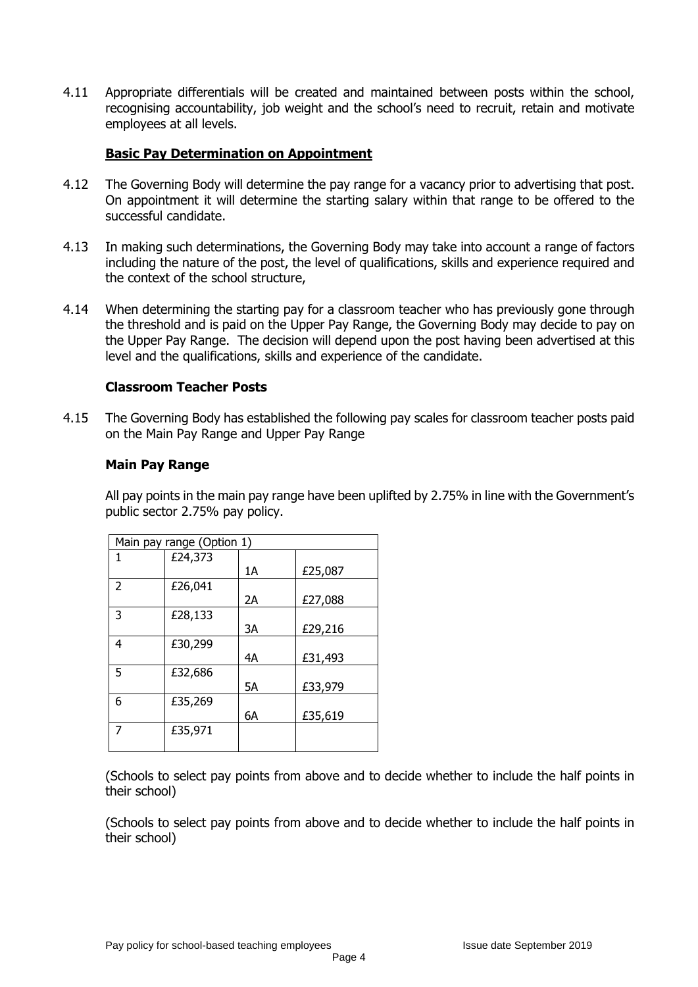4.11 Appropriate differentials will be created and maintained between posts within the school, recognising accountability, job weight and the school's need to recruit, retain and motivate employees at all levels.

### **Basic Pay Determination on Appointment**

- 4.12 The Governing Body will determine the pay range for a vacancy prior to advertising that post. On appointment it will determine the starting salary within that range to be offered to the successful candidate.
- 4.13 In making such determinations, the Governing Body may take into account a range of factors including the nature of the post, the level of qualifications, skills and experience required and the context of the school structure,
- 4.14 When determining the starting pay for a classroom teacher who has previously gone through the threshold and is paid on the Upper Pay Range, the Governing Body may decide to pay on the Upper Pay Range. The decision will depend upon the post having been advertised at this level and the qualifications, skills and experience of the candidate.

#### **Classroom Teacher Posts**

4.15 The Governing Body has established the following pay scales for classroom teacher posts paid on the Main Pay Range and Upper Pay Range

#### **Main Pay Range**

All pay points in the main pay range have been uplifted by 2.75% in line with the Government's public sector 2.75% pay policy.

| Main pay range (Option 1) |         |    |         |
|---------------------------|---------|----|---------|
| 1                         | £24,373 |    |         |
|                           |         | 1A | £25,087 |
| $\overline{2}$            | £26,041 |    |         |
|                           |         | 2A | £27,088 |
| 3                         | £28,133 |    |         |
|                           |         | 3A | £29,216 |
| 4                         | £30,299 |    |         |
|                           |         | 4A | £31,493 |
| 5                         | £32,686 |    |         |
|                           |         | 5А | £33,979 |
| 6                         | £35,269 |    |         |
|                           |         | 6A | £35,619 |
| 7                         | £35,971 |    |         |
|                           |         |    |         |

(Schools to select pay points from above and to decide whether to include the half points in their school)

(Schools to select pay points from above and to decide whether to include the half points in their school)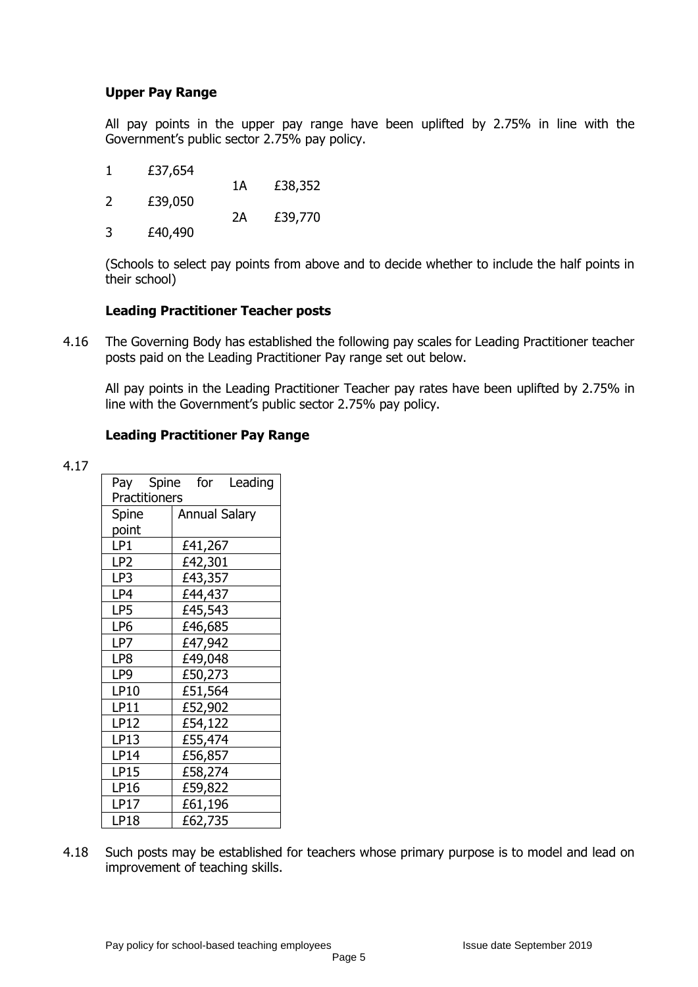# **Upper Pay Range**

All pay points in the upper pay range have been uplifted by 2.75% in line with the Government's public sector 2.75% pay policy.

- 1 £37,654
- 1A £38,352 2 £39,050 2A £39,770
- 3 £40,490

(Schools to select pay points from above and to decide whether to include the half points in their school)

#### **Leading Practitioner Teacher posts**

4.16 The Governing Body has established the following pay scales for Leading Practitioner teacher posts paid on the Leading Practitioner Pay range set out below.

All pay points in the Leading Practitioner Teacher pay rates have been uplifted by 2.75% in line with the Government's public sector 2.75% pay policy.

# **Leading Practitioner Pay Range**

4.17

|               |           | for Leading                                                                                                                                                                                                                |
|---------------|-----------|----------------------------------------------------------------------------------------------------------------------------------------------------------------------------------------------------------------------------|
| Practitioners |           |                                                                                                                                                                                                                            |
|               |           |                                                                                                                                                                                                                            |
|               |           |                                                                                                                                                                                                                            |
|               |           |                                                                                                                                                                                                                            |
|               |           |                                                                                                                                                                                                                            |
|               |           |                                                                                                                                                                                                                            |
|               |           |                                                                                                                                                                                                                            |
|               |           |                                                                                                                                                                                                                            |
|               |           |                                                                                                                                                                                                                            |
|               |           |                                                                                                                                                                                                                            |
|               |           |                                                                                                                                                                                                                            |
|               |           |                                                                                                                                                                                                                            |
|               |           |                                                                                                                                                                                                                            |
|               |           |                                                                                                                                                                                                                            |
|               |           |                                                                                                                                                                                                                            |
|               |           |                                                                                                                                                                                                                            |
|               |           |                                                                                                                                                                                                                            |
|               |           |                                                                                                                                                                                                                            |
|               |           |                                                                                                                                                                                                                            |
|               |           |                                                                                                                                                                                                                            |
|               |           |                                                                                                                                                                                                                            |
|               | Pay Spine | <b>Annual Salary</b><br>£41,267<br>£42,301<br>£43,357<br>£44,437<br>£45,543<br>£46,685<br>£47,942<br>£49,048<br>£50,273<br>£51,564<br>£52,902<br>£54,122<br>£55,474<br>£56,857<br>£58,274<br>£59,822<br>£61,196<br>£62,735 |

4.18 Such posts may be established for teachers whose primary purpose is to model and lead on improvement of teaching skills.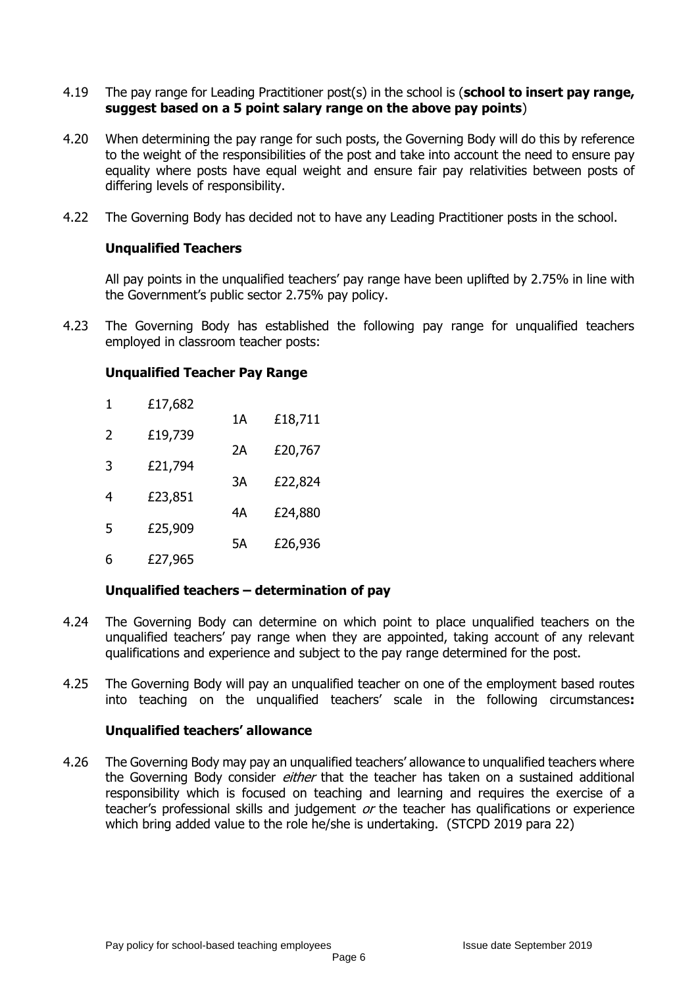- 4.19 The pay range for Leading Practitioner post(s) in the school is (**school to insert pay range, suggest based on a 5 point salary range on the above pay points**)
- 4.20 When determining the pay range for such posts, the Governing Body will do this by reference to the weight of the responsibilities of the post and take into account the need to ensure pay equality where posts have equal weight and ensure fair pay relativities between posts of differing levels of responsibility.
- 4.22 The Governing Body has decided not to have any Leading Practitioner posts in the school.

#### **Unqualified Teachers**

All pay points in the unqualified teachers' pay range have been uplifted by 2.75% in line with the Government's public sector 2.75% pay policy.

4.23 The Governing Body has established the following pay range for unqualified teachers employed in classroom teacher posts:

#### **Unqualified Teacher Pay Range**

| 1             | £17,682 |    |         |
|---------------|---------|----|---------|
|               |         | 1Α | £18,711 |
| $\mathcal{P}$ | £19,739 | 2Α | £20,767 |
| 3             | £21,794 |    |         |
| 4             | £23,851 | 3A | £22,824 |
|               |         | 4Α | £24,880 |
| 5             | £25,909 | 5A | £26,936 |
| 6             | £27,965 |    |         |

# **Unqualified teachers – determination of pay**

- 4.24 The Governing Body can determine on which point to place unqualified teachers on the unqualified teachers' pay range when they are appointed, taking account of any relevant qualifications and experience and subject to the pay range determined for the post.
- 4.25 The Governing Body will pay an unqualified teacher on one of the employment based routes into teaching on the unqualified teachers' scale in the following circumstances**:**

#### **Unqualified teachers' allowance**

4.26 The Governing Body may pay an unqualified teachers' allowance to unqualified teachers where the Governing Body consider *either* that the teacher has taken on a sustained additional responsibility which is focused on teaching and learning and requires the exercise of a teacher's professional skills and judgement or the teacher has qualifications or experience which bring added value to the role he/she is undertaking. (STCPD 2019 para 22)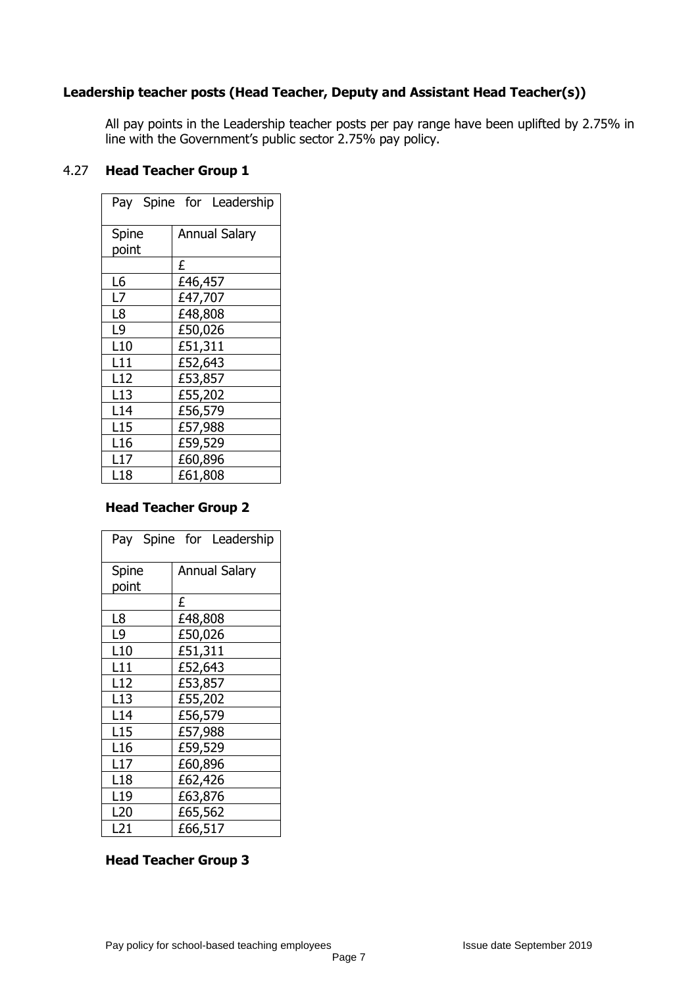# **Leadership teacher posts (Head Teacher, Deputy and Assistant Head Teacher(s))**

All pay points in the Leadership teacher posts per pay range have been uplifted by 2.75% in line with the Government's public sector 2.75% pay policy.

#### 4.27 **Head Teacher Group 1**

|                 | Pay Spine for Leadership |
|-----------------|--------------------------|
| Spine           | <b>Annual Salary</b>     |
| point           |                          |
|                 | £                        |
| L6              | £46,457                  |
| L7              | £47,707                  |
| L8              | £48,808                  |
| L9              | £50,026                  |
| L <sub>10</sub> | £51,311                  |
| L11             | £52,643                  |
| L12             | £53,857                  |
| L13             | £55,202                  |
| L14             | £56,579                  |
| L <sub>15</sub> | £57,988                  |
| L <sub>16</sub> | £59,529                  |
| L17             | £60,896                  |
| L18             | £61,808                  |

# **Head Teacher Group 2**

|                 | Pay Spine for Leadership |
|-----------------|--------------------------|
| Spine           | <b>Annual Salary</b>     |
| point           |                          |
|                 | £                        |
| L8              | £48,808                  |
| L9              | £50,026                  |
| L10             | £51,311                  |
| L11             | £52,643                  |
| L12             | £53,857                  |
| L13             | £55,202                  |
| L14             | £56,579                  |
| L15             | £57,988                  |
| L <sub>16</sub> | £59,529                  |
| L17             | £60,896                  |
| L <sub>18</sub> | £62,426                  |
| L <sub>19</sub> | £63,876                  |
| L20             | £65,562                  |
| L21             | £66,517                  |

# **Head Teacher Group 3**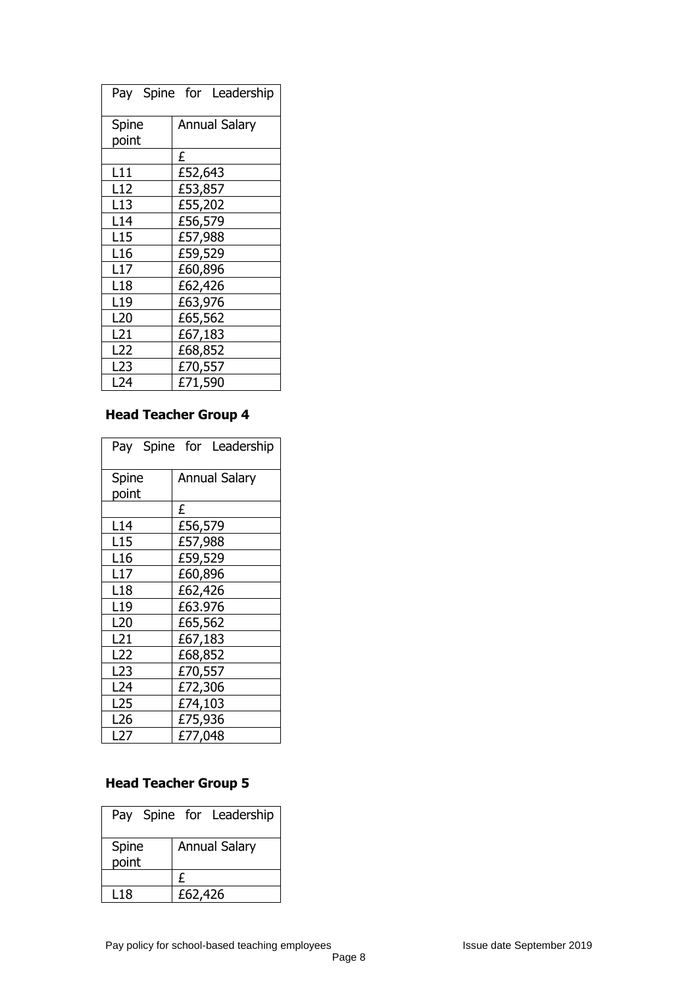|                 | Pay Spine for Leadership |
|-----------------|--------------------------|
| Spine           | <b>Annual Salary</b>     |
| point           |                          |
|                 | £                        |
| L11             | £52,643                  |
| L12             | £53,857                  |
| L <sub>13</sub> | £55,202                  |
| L14             | £56,579                  |
| L <sub>15</sub> | £57,988                  |
| L <sub>16</sub> | £59,529                  |
| L17             | £60,896                  |
| L <sub>18</sub> | £62,426                  |
| L19             | £63,976                  |
| L20             | £65,562                  |
| L21             | £67,183                  |
| L22             | £68,852                  |
| L23             | £70,557                  |
| L24             | £71,590                  |

# **Head Teacher Group 4**

|                 | Pay Spine for Leadership |
|-----------------|--------------------------|
| Spine           | <b>Annual Salary</b>     |
| point           |                          |
|                 | £                        |
| L14             | £56,579                  |
| L15             | £57,988                  |
| L <sub>16</sub> | £59,529                  |
| L17             | £60,896                  |
| L <sub>18</sub> | £62,426                  |
| L <sub>19</sub> | £63.976                  |
| L <sub>20</sub> | £65,562                  |
| L <sub>21</sub> | £67,183                  |
| L22             | £68,852                  |
| L23             | £70,557                  |
| L <sub>24</sub> | £72,306                  |
| L25             | £74,103                  |
| L <sub>26</sub> | £75,936                  |
| L27             | £77,048                  |

# **Head Teacher Group 5**

|                | Pay Spine for Leadership |
|----------------|--------------------------|
| Spine<br>point | <b>Annual Salary</b>     |
|                | £                        |
| L18            | £62,426                  |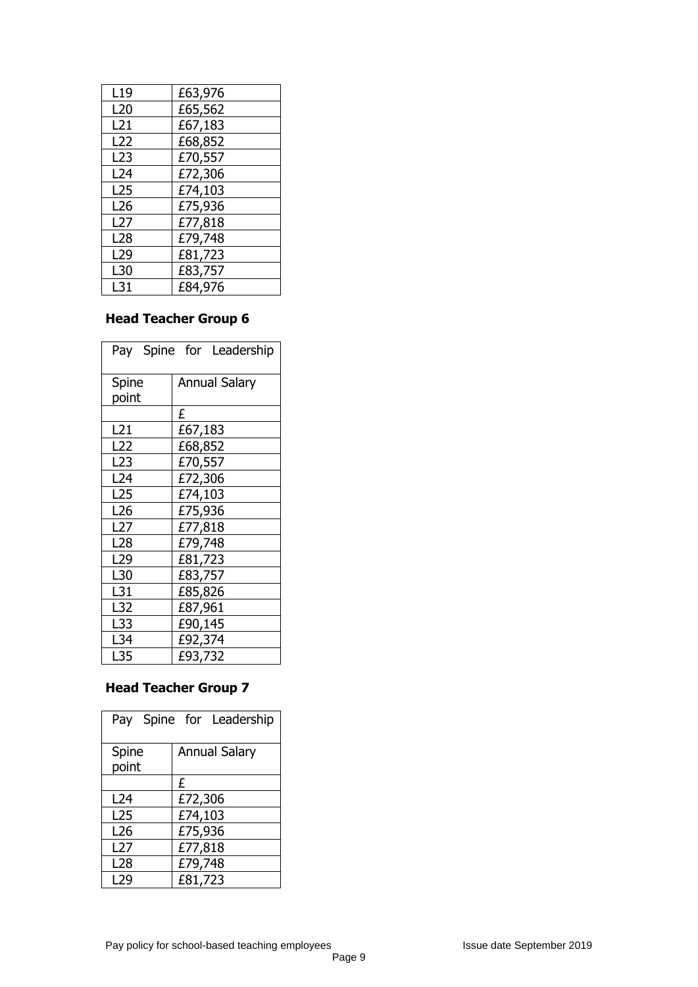| L <sub>19</sub> | £63,976 |
|-----------------|---------|
| L <sub>20</sub> | £65,562 |
| L21             | £67,183 |
| L22             | £68,852 |
| L <sub>23</sub> | £70,557 |
| L24             | £72,306 |
| L <sub>25</sub> | £74,103 |
| L26             | £75,936 |
| L27             | £77,818 |
| L <sub>28</sub> | £79,748 |
| L <sub>29</sub> | £81,723 |
| L30             | £83,757 |
| L31             | £84,976 |

# **Head Teacher Group 6**

|                 | Pay Spine for Leadership |
|-----------------|--------------------------|
| Spine           | <b>Annual Salary</b>     |
| point           |                          |
|                 | £                        |
| L21             | £67,183                  |
| L <sub>22</sub> | £68,852                  |
| L23             | £70,557                  |
| L24             | £72,306                  |
| L <sub>25</sub> | £74,103                  |
| L <sub>26</sub> | £75,936                  |
| L27             | £77,818                  |
| L28             | £79,748                  |
| L29             | £81,723                  |
| L30             | £83,757                  |
| L31             | £85,826                  |
| L32             | £87,961                  |
| L33             | £90,145                  |
| L34             | £92,374                  |
| L35             | £93,732                  |

# **Head Teacher Group 7**

|                 | Pay Spine for Leadership |
|-----------------|--------------------------|
| Spine<br>point  | <b>Annual Salary</b>     |
|                 | £                        |
| L24             | £72,306                  |
| L <sub>25</sub> | £74,103                  |
| L <sub>26</sub> | £75,936                  |
| L <sub>27</sub> | £77,818                  |
| L <sub>28</sub> | £79,748                  |
| L29             | £81,723                  |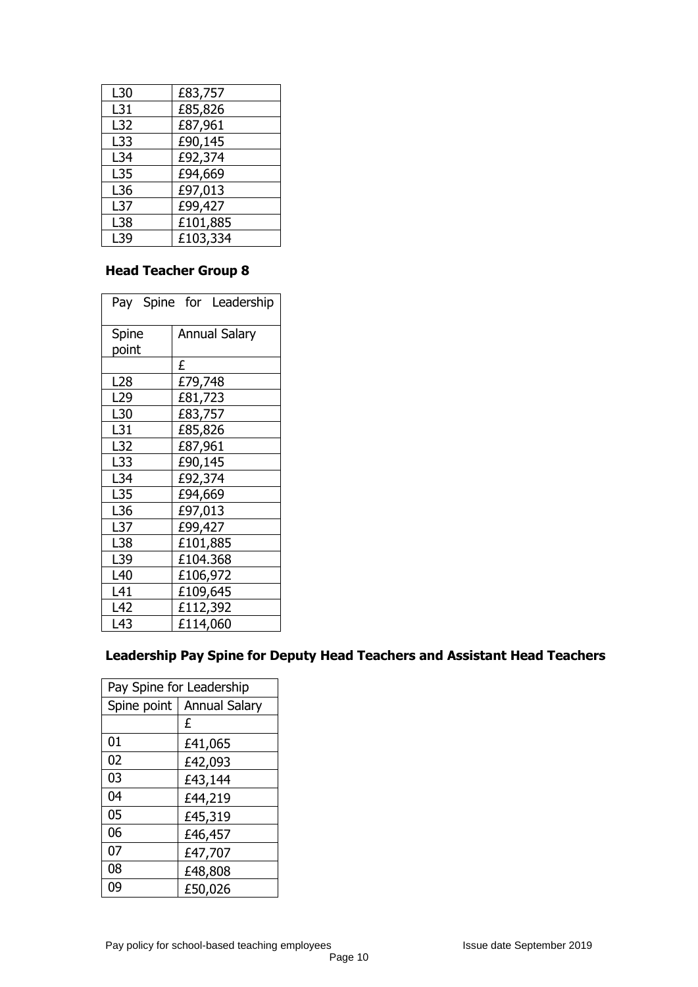| L30             | £83,757  |
|-----------------|----------|
| L31             | £85,826  |
| L32             | £87,961  |
| L33             | £90,145  |
| L34             | £92,374  |
| L35             | £94,669  |
| L36             | £97,013  |
| L <sub>37</sub> | £99,427  |
| L38             | £101,885 |
| L39             | £103,334 |

# **Head Teacher Group 8**

| Pay Spine for Leadership |                      |  |
|--------------------------|----------------------|--|
| Spine                    | <b>Annual Salary</b> |  |
| point                    |                      |  |
|                          | £                    |  |
| L <sub>28</sub>          | £79,748              |  |
| L <sub>29</sub>          | £81,723              |  |
| L30                      | £83,757              |  |
| L31                      | £85,826              |  |
| L32                      | £87,961              |  |
| L33                      | £90,145              |  |
| L34                      | £92,374              |  |
| L35                      | £94,669              |  |
| L36                      | £97,013              |  |
| L37                      | £99,427              |  |
| L38                      | £101,885             |  |
| L39                      | £104.368             |  |
| L40                      | £106,972             |  |
| L41                      | £109,645             |  |
| L42                      | £112,392             |  |
| L43                      | £114,060             |  |

# **Leadership Pay Spine for Deputy Head Teachers and Assistant Head Teachers**

| Pay Spine for Leadership |                      |
|--------------------------|----------------------|
| Spine point              | <b>Annual Salary</b> |
|                          | £                    |
| 01                       | £41,065              |
| 02                       | £42,093              |
| 03                       | £43,144              |
| 04                       | £44,219              |
| 05                       | £45,319              |
| 06                       | £46,457              |
| 07                       | £47,707              |
| 08                       | £48,808              |
| 09                       | £50,026              |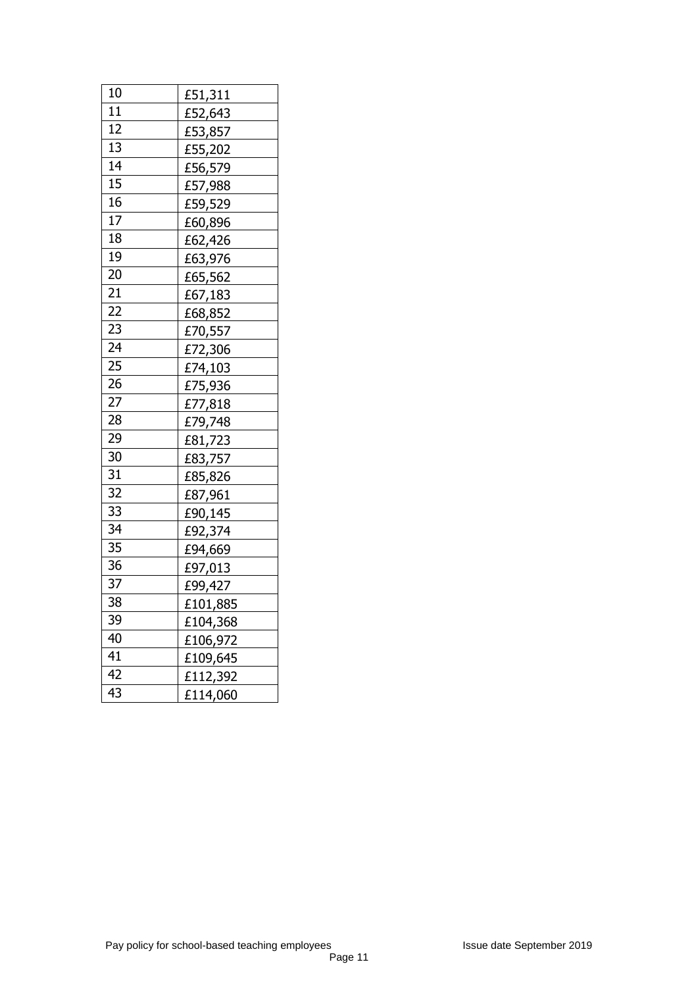| 10 | £51,311  |
|----|----------|
| 11 | £52,643  |
| 12 | £53,857  |
| 13 | £55,202  |
| 14 | £56,579  |
| 15 | £57,988  |
| 16 | £59,529  |
| 17 | £60,896  |
| 18 | £62,426  |
| 19 | £63,976  |
| 20 | £65,562  |
| 21 | £67,183  |
| 22 | £68,852  |
| 23 | £70,557  |
| 24 | £72,306  |
| 25 | £74,103  |
| 26 | £75,936  |
| 27 | £77,818  |
| 28 | £79,748  |
| 29 | £81,723  |
| 30 | £83,757  |
| 31 | £85,826  |
| 32 | £87,961  |
| 33 | £90,145  |
| 34 | £92,374  |
| 35 | £94,669  |
| 36 | £97,013  |
| 37 | £99,427  |
| 38 | £101,885 |
| 39 | £104,368 |
| 40 | £106,972 |
| 41 | £109,645 |
| 42 | £112,392 |
| 43 | £114,060 |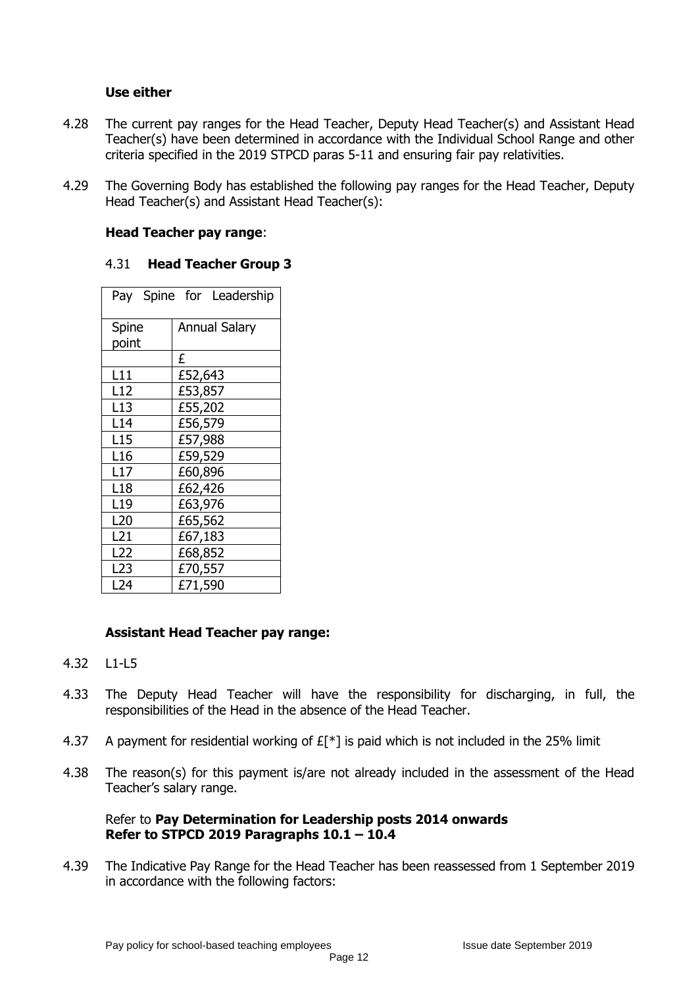#### **Use either**

- 4.28 The current pay ranges for the Head Teacher, Deputy Head Teacher(s) and Assistant Head Teacher(s) have been determined in accordance with the Individual School Range and other criteria specified in the 2019 STPCD paras 5-11 and ensuring fair pay relativities.
- 4.29 The Governing Body has established the following pay ranges for the Head Teacher, Deputy Head Teacher(s) and Assistant Head Teacher(s):

#### **Head Teacher pay range**:

#### 4.31 **Head Teacher Group 3**

|                 | Pay Spine for Leadership |
|-----------------|--------------------------|
| Spine           | <b>Annual Salary</b>     |
| point           |                          |
|                 | £                        |
| L11             | £52,643                  |
| L12             | £53,857                  |
| L13             | £55,202                  |
| L14             | £56,579                  |
| L <sub>15</sub> | £57,988                  |
| L16             | £59,529                  |
| L17             | £60,896                  |
| L <sub>18</sub> | £62,426                  |
| L19             | £63,976                  |
| L20             | £65,562                  |
| L21             | £67,183                  |
| L22             | £68,852                  |
| L23             | £70,557                  |
| L24             | £71,590                  |

# **Assistant Head Teacher pay range:**

- 4.32 L1-L5
- 4.33 The Deputy Head Teacher will have the responsibility for discharging, in full, the responsibilities of the Head in the absence of the Head Teacher.
- 4.37 A payment for residential working of  $E[*]$  is paid which is not included in the 25% limit
- 4.38 The reason(s) for this payment is/are not already included in the assessment of the Head Teacher's salary range.

#### Refer to **Pay Determination for Leadership posts 2014 onwards Refer to STPCD 2019 Paragraphs 10.1 – 10.4**

4.39 The Indicative Pay Range for the Head Teacher has been reassessed from 1 September 2019 in accordance with the following factors: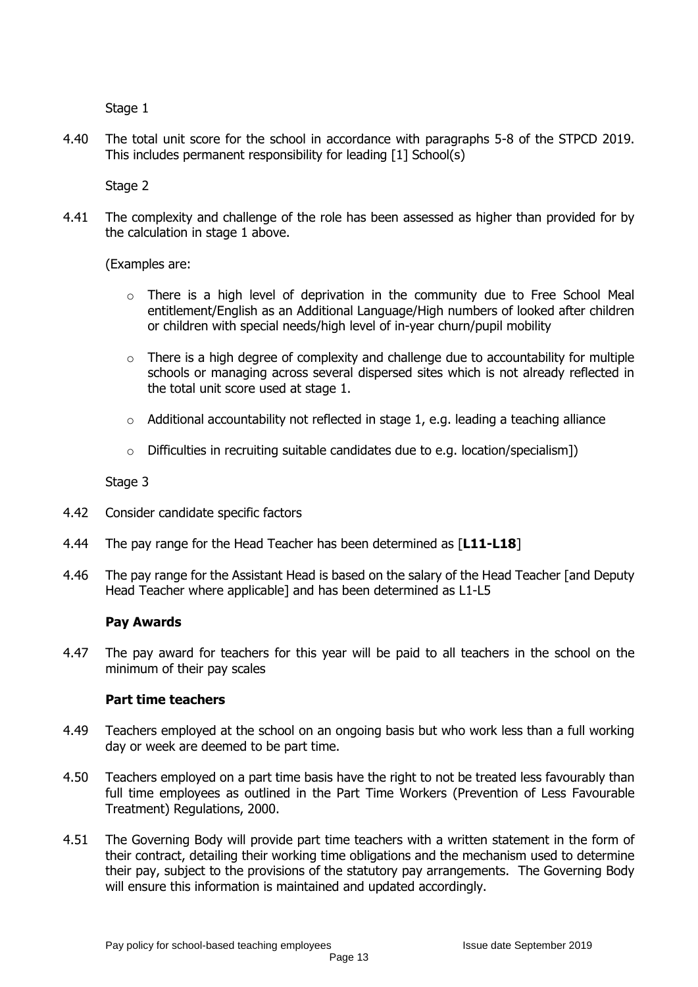Stage 1

4.40 The total unit score for the school in accordance with paragraphs 5-8 of the STPCD 2019. This includes permanent responsibility for leading [1] School(s)

Stage 2

4.41 The complexity and challenge of the role has been assessed as higher than provided for by the calculation in stage 1 above.

(Examples are:

- o There is a high level of deprivation in the community due to Free School Meal entitlement/English as an Additional Language/High numbers of looked after children or children with special needs/high level of in-year churn/pupil mobility
- $\circ$  There is a high degree of complexity and challenge due to accountability for multiple schools or managing across several dispersed sites which is not already reflected in the total unit score used at stage 1.
- $\circ$  Additional accountability not reflected in stage 1, e.g. leading a teaching alliance
- $\circ$  Difficulties in recruiting suitable candidates due to e.g. location/specialism])

Stage 3

- 4.42 Consider candidate specific factors
- 4.44 The pay range for the Head Teacher has been determined as [**L11-L18**]
- 4.46 The pay range for the Assistant Head is based on the salary of the Head Teacher [and Deputy Head Teacher where applicable] and has been determined as L1-L5

#### **Pay Awards**

4.47 The pay award for teachers for this year will be paid to all teachers in the school on the minimum of their pay scales

#### **Part time teachers**

- 4.49 Teachers employed at the school on an ongoing basis but who work less than a full working day or week are deemed to be part time.
- 4.50 Teachers employed on a part time basis have the right to not be treated less favourably than full time employees as outlined in the Part Time Workers (Prevention of Less Favourable Treatment) Regulations, 2000.
- 4.51 The Governing Body will provide part time teachers with a written statement in the form of their contract, detailing their working time obligations and the mechanism used to determine their pay, subject to the provisions of the statutory pay arrangements. The Governing Body will ensure this information is maintained and updated accordingly.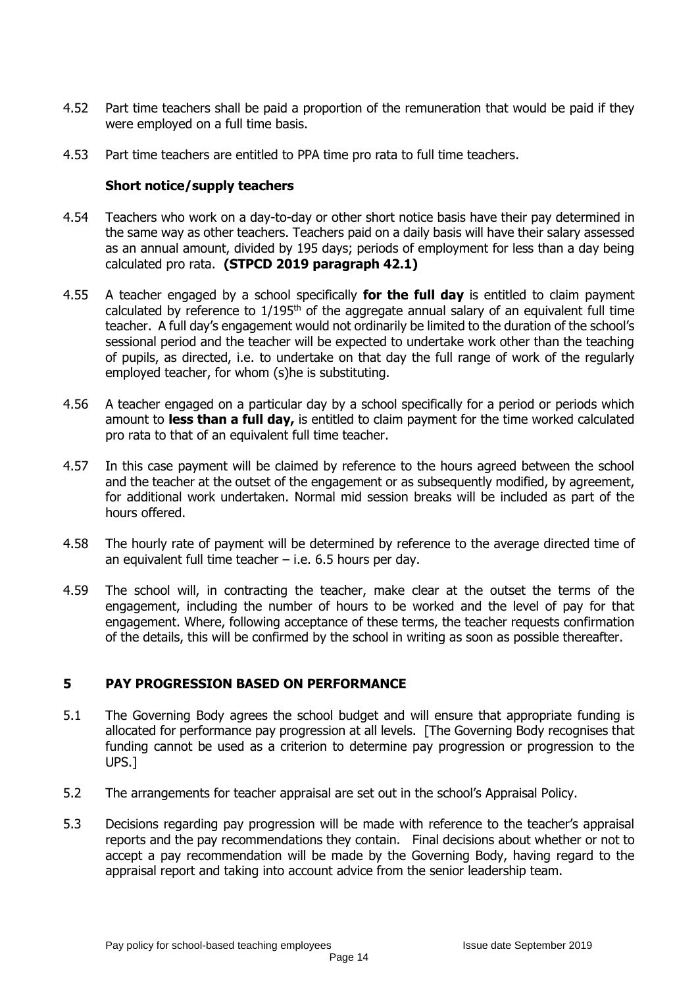- 4.52 Part time teachers shall be paid a proportion of the remuneration that would be paid if they were employed on a full time basis.
- 4.53 Part time teachers are entitled to PPA time pro rata to full time teachers.

### **Short notice/supply teachers**

- 4.54 Teachers who work on a day-to-day or other short notice basis have their pay determined in the same way as other teachers. Teachers paid on a daily basis will have their salary assessed as an annual amount, divided by 195 days; periods of employment for less than a day being calculated pro rata. **(STPCD 2019 paragraph 42.1)**
- 4.55 A teacher engaged by a school specifically **for the full day** is entitled to claim payment calculated by reference to  $1/195<sup>th</sup>$  of the aggregate annual salary of an equivalent full time teacher. A full day's engagement would not ordinarily be limited to the duration of the school's sessional period and the teacher will be expected to undertake work other than the teaching of pupils, as directed, i.e. to undertake on that day the full range of work of the regularly employed teacher, for whom (s)he is substituting.
- 4.56 A teacher engaged on a particular day by a school specifically for a period or periods which amount to **less than a full day,** is entitled to claim payment for the time worked calculated pro rata to that of an equivalent full time teacher.
- 4.57 In this case payment will be claimed by reference to the hours agreed between the school and the teacher at the outset of the engagement or as subsequently modified, by agreement, for additional work undertaken. Normal mid session breaks will be included as part of the hours offered.
- 4.58 The hourly rate of payment will be determined by reference to the average directed time of an equivalent full time teacher  $-$  i.e. 6.5 hours per day.
- 4.59 The school will, in contracting the teacher, make clear at the outset the terms of the engagement, including the number of hours to be worked and the level of pay for that engagement. Where, following acceptance of these terms, the teacher requests confirmation of the details, this will be confirmed by the school in writing as soon as possible thereafter.

# **5 PAY PROGRESSION BASED ON PERFORMANCE**

- 5.1 The Governing Body agrees the school budget and will ensure that appropriate funding is allocated for performance pay progression at all levels. [The Governing Body recognises that funding cannot be used as a criterion to determine pay progression or progression to the UPS.]
- 5.2 The arrangements for teacher appraisal are set out in the school's Appraisal Policy.
- 5.3 Decisions regarding pay progression will be made with reference to the teacher's appraisal reports and the pay recommendations they contain. Final decisions about whether or not to accept a pay recommendation will be made by the Governing Body, having regard to the appraisal report and taking into account advice from the senior leadership team.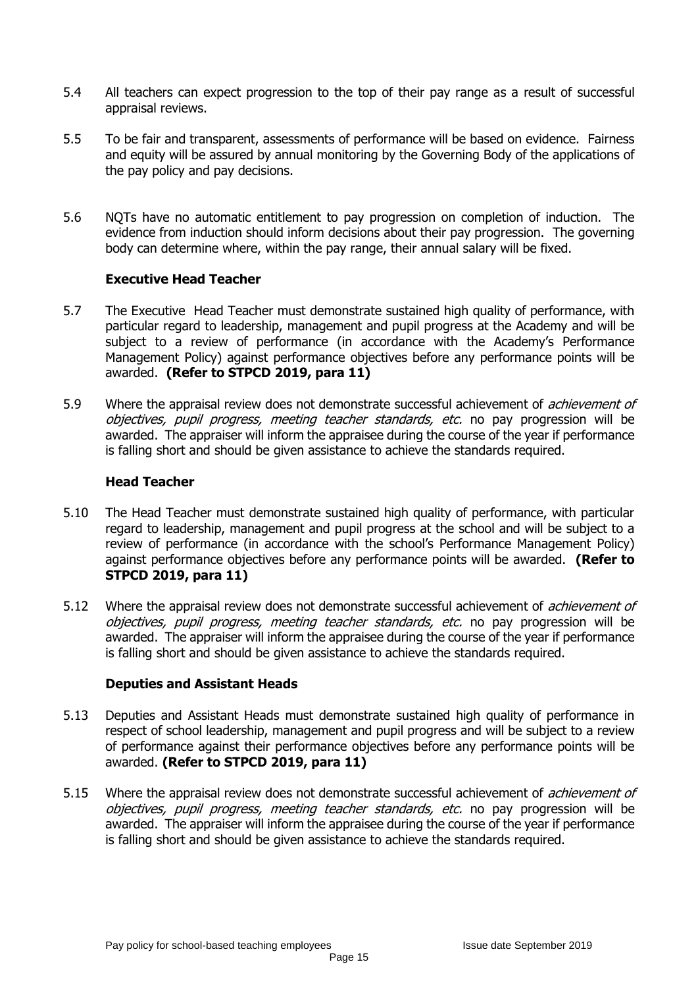- 5.4 All teachers can expect progression to the top of their pay range as a result of successful appraisal reviews.
- 5.5 To be fair and transparent, assessments of performance will be based on evidence. Fairness and equity will be assured by annual monitoring by the Governing Body of the applications of the pay policy and pay decisions.
- 5.6 NQTs have no automatic entitlement to pay progression on completion of induction. The evidence from induction should inform decisions about their pay progression. The governing body can determine where, within the pay range, their annual salary will be fixed.

#### **Executive Head Teacher**

- 5.7 The Executive Head Teacher must demonstrate sustained high quality of performance, with particular regard to leadership, management and pupil progress at the Academy and will be subject to a review of performance (in accordance with the Academy's Performance Management Policy) against performance objectives before any performance points will be awarded. **(Refer to STPCD 2019, para 11)**
- 5.9 Where the appraisal review does not demonstrate successful achievement of *achievement of* objectives, pupil progress, meeting teacher standards, etc. no pay progression will be awarded. The appraiser will inform the appraisee during the course of the year if performance is falling short and should be given assistance to achieve the standards required.

#### **Head Teacher**

- 5.10 The Head Teacher must demonstrate sustained high quality of performance, with particular regard to leadership, management and pupil progress at the school and will be subject to a review of performance (in accordance with the school's Performance Management Policy) against performance objectives before any performance points will be awarded. **(Refer to STPCD 2019, para 11)**
- 5.12 Where the appraisal review does not demonstrate successful achievement of *achievement of* objectives, pupil progress, meeting teacher standards, etc. no pay progression will be awarded. The appraiser will inform the appraisee during the course of the year if performance is falling short and should be given assistance to achieve the standards required.

#### **Deputies and Assistant Heads**

- 5.13 Deputies and Assistant Heads must demonstrate sustained high quality of performance in respect of school leadership, management and pupil progress and will be subject to a review of performance against their performance objectives before any performance points will be awarded. **(Refer to STPCD 2019, para 11)**
- 5.15 Where the appraisal review does not demonstrate successful achievement of *achievement of* objectives, pupil progress, meeting teacher standards, etc. no pay progression will be awarded. The appraiser will inform the appraisee during the course of the year if performance is falling short and should be given assistance to achieve the standards required.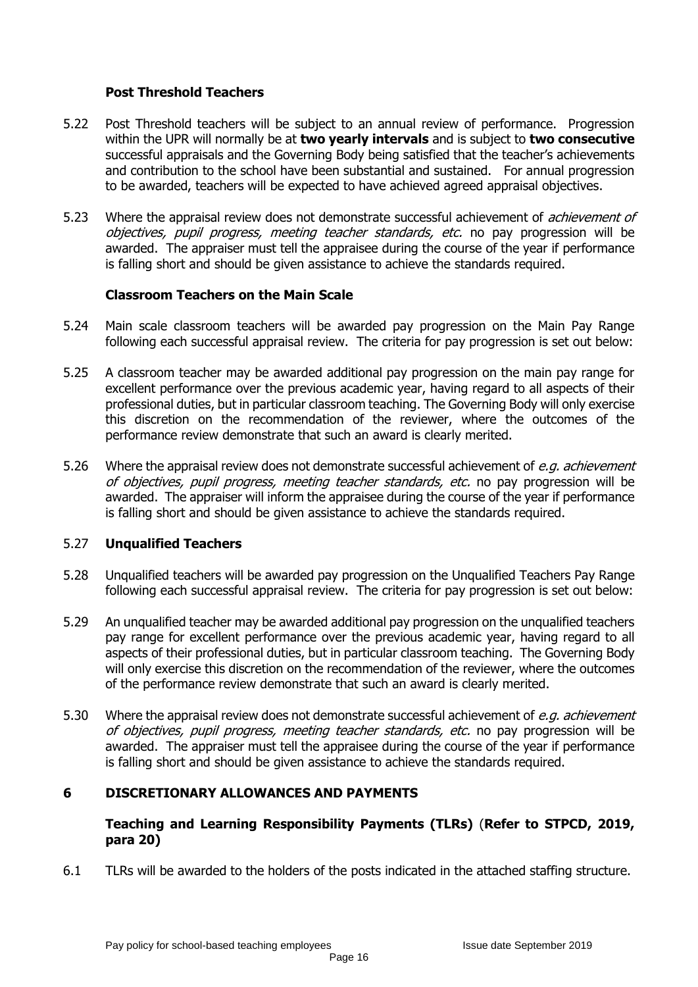### **Post Threshold Teachers**

- 5.22 Post Threshold teachers will be subject to an annual review of performance. Progression within the UPR will normally be at **two yearly intervals** and is subject to **two consecutive** successful appraisals and the Governing Body being satisfied that the teacher's achievements and contribution to the school have been substantial and sustained. For annual progression to be awarded, teachers will be expected to have achieved agreed appraisal objectives.
- 5.23 Where the appraisal review does not demonstrate successful achievement of *achievement of* objectives, pupil progress, meeting teacher standards, etc. no pay progression will be awarded. The appraiser must tell the appraisee during the course of the year if performance is falling short and should be given assistance to achieve the standards required.

#### **Classroom Teachers on the Main Scale**

- 5.24 Main scale classroom teachers will be awarded pay progression on the Main Pay Range following each successful appraisal review. The criteria for pay progression is set out below:
- 5.25 A classroom teacher may be awarded additional pay progression on the main pay range for excellent performance over the previous academic year, having regard to all aspects of their professional duties, but in particular classroom teaching. The Governing Body will only exercise this discretion on the recommendation of the reviewer, where the outcomes of the performance review demonstrate that such an award is clearly merited.
- 5.26 Where the appraisal review does not demonstrate successful achievement of e.q. achievement of objectives, pupil progress, meeting teacher standards, etc. no pay progression will be awarded. The appraiser will inform the appraisee during the course of the year if performance is falling short and should be given assistance to achieve the standards required.

#### 5.27 **Unqualified Teachers**

- 5.28 Unqualified teachers will be awarded pay progression on the Unqualified Teachers Pay Range following each successful appraisal review. The criteria for pay progression is set out below:
- 5.29 An unqualified teacher may be awarded additional pay progression on the unqualified teachers pay range for excellent performance over the previous academic year, having regard to all aspects of their professional duties, but in particular classroom teaching. The Governing Body will only exercise this discretion on the recommendation of the reviewer, where the outcomes of the performance review demonstrate that such an award is clearly merited.
- 5.30 Where the appraisal review does not demonstrate successful achievement of e.q. achievement of objectives, pupil progress, meeting teacher standards, etc. no pay progression will be awarded. The appraiser must tell the appraisee during the course of the year if performance is falling short and should be given assistance to achieve the standards required.

# **6 DISCRETIONARY ALLOWANCES AND PAYMENTS**

#### **Teaching and Learning Responsibility Payments (TLRs)** (**Refer to STPCD, 2019, para 20)**

6.1 TLRs will be awarded to the holders of the posts indicated in the attached staffing structure.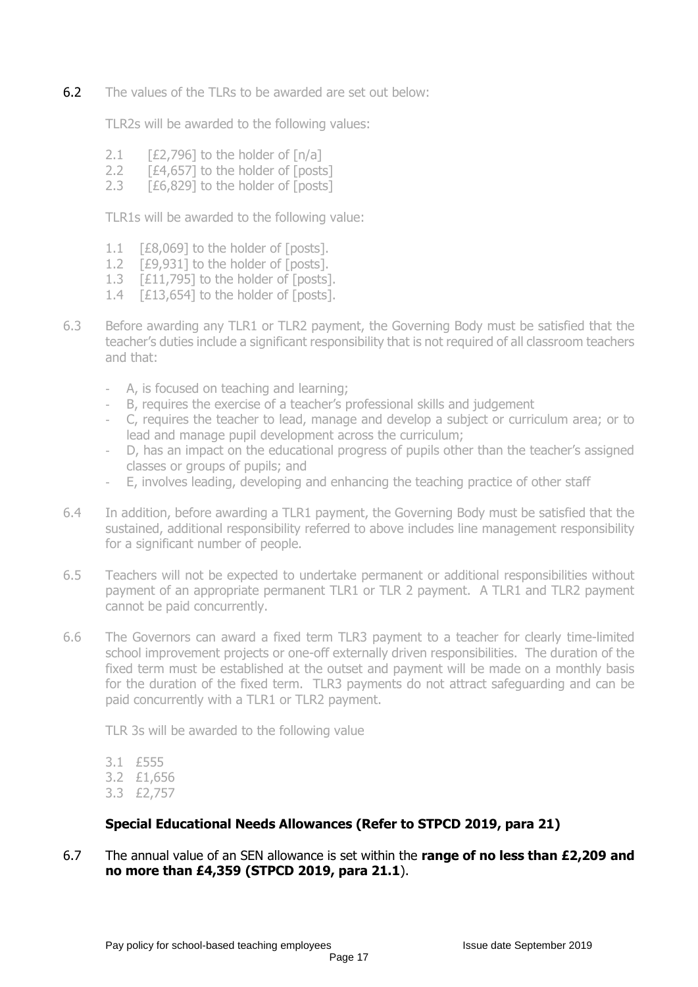6.2 The values of the TLRs to be awarded are set out below:

TLR2s will be awarded to the following values:

- 2.1  $[£2,796]$  to the holder of  $[n/a]$
- 2.2 [£4,657] to the holder of [posts]
- 2.3 [£6,829] to the holder of [posts]

TLR1s will be awarded to the following value:

- 1.1 [£8,069] to the holder of [posts].
- 1.2 **[£9,931] to the holder of [posts].**
- 1.3 [£11,795] to the holder of [posts].
- 1.4 [£13,654] to the holder of [posts].
- 6.3 Before awarding any TLR1 or TLR2 payment, the Governing Body must be satisfied that the teacher's duties include a significant responsibility that is not required of all classroom teachers and that:
	- A, is focused on teaching and learning;
	- B, requires the exercise of a teacher's professional skills and judgement
	- C, requires the teacher to lead, manage and develop a subject or curriculum area; or to lead and manage pupil development across the curriculum;
	- D, has an impact on the educational progress of pupils other than the teacher's assigned classes or groups of pupils; and
	- E, involves leading, developing and enhancing the teaching practice of other staff
- 6.4 In addition, before awarding a TLR1 payment, the Governing Body must be satisfied that the sustained, additional responsibility referred to above includes line management responsibility for a significant number of people.
- 6.5 Teachers will not be expected to undertake permanent or additional responsibilities without payment of an appropriate permanent TLR1 or TLR 2 payment. A TLR1 and TLR2 payment cannot be paid concurrently.
- 6.6 The Governors can award a fixed term TLR3 payment to a teacher for clearly time-limited school improvement projects or one-off externally driven responsibilities. The duration of the fixed term must be established at the outset and payment will be made on a monthly basis for the duration of the fixed term. TLR3 payments do not attract safeguarding and can be paid concurrently with a TLR1 or TLR2 payment.

TLR 3s will be awarded to the following value

- 3.1 £555
- 3.2 £1,656
- 3.3 £2,757

# **Special Educational Needs Allowances (Refer to STPCD 2019, para 21)**

6.7 The annual value of an SEN allowance is set within the **range of no less than £2,209 and no more than £4,359 (STPCD 2019, para 21.1**).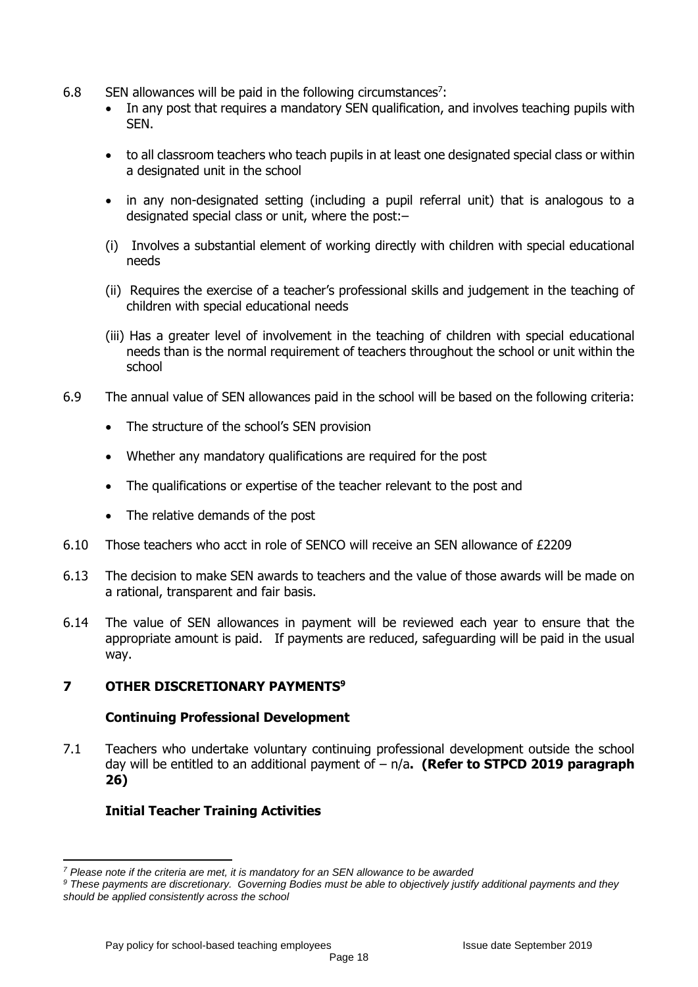- 6.8 SEN allowances will be paid in the following circumstances<sup>7</sup>:
	- In any post that requires a mandatory SEN qualification, and involves teaching pupils with SEN.
	- to all classroom teachers who teach pupils in at least one designated special class or within a designated unit in the school
	- in any non-designated setting (including a pupil referral unit) that is analogous to a designated special class or unit, where the post:–
	- (i) Involves a substantial element of working directly with children with special educational needs
	- (ii) Requires the exercise of a teacher's professional skills and judgement in the teaching of children with special educational needs
	- (iii) Has a greater level of involvement in the teaching of children with special educational needs than is the normal requirement of teachers throughout the school or unit within the school
- 6.9 The annual value of SEN allowances paid in the school will be based on the following criteria:
	- The structure of the school's SEN provision
	- Whether any mandatory qualifications are required for the post
	- The qualifications or expertise of the teacher relevant to the post and
	- The relative demands of the post
- 6.10 Those teachers who acct in role of SENCO will receive an SEN allowance of £2209
- 6.13 The decision to make SEN awards to teachers and the value of those awards will be made on a rational, transparent and fair basis.
- 6.14 The value of SEN allowances in payment will be reviewed each year to ensure that the appropriate amount is paid. If payments are reduced, safeguarding will be paid in the usual way.

# **7 OTHER DISCRETIONARY PAYMENTS<sup>9</sup>**

#### **Continuing Professional Development**

7.1 Teachers who undertake voluntary continuing professional development outside the school day will be entitled to an additional payment of – n/a**. (Refer to STPCD 2019 paragraph 26)**

# **Initial Teacher Training Activities**

**.** 

*<sup>7</sup> Please note if the criteria are met, it is mandatory for an SEN allowance to be awarded*

*<sup>9</sup> These payments are discretionary. Governing Bodies must be able to objectively justify additional payments and they should be applied consistently across the school*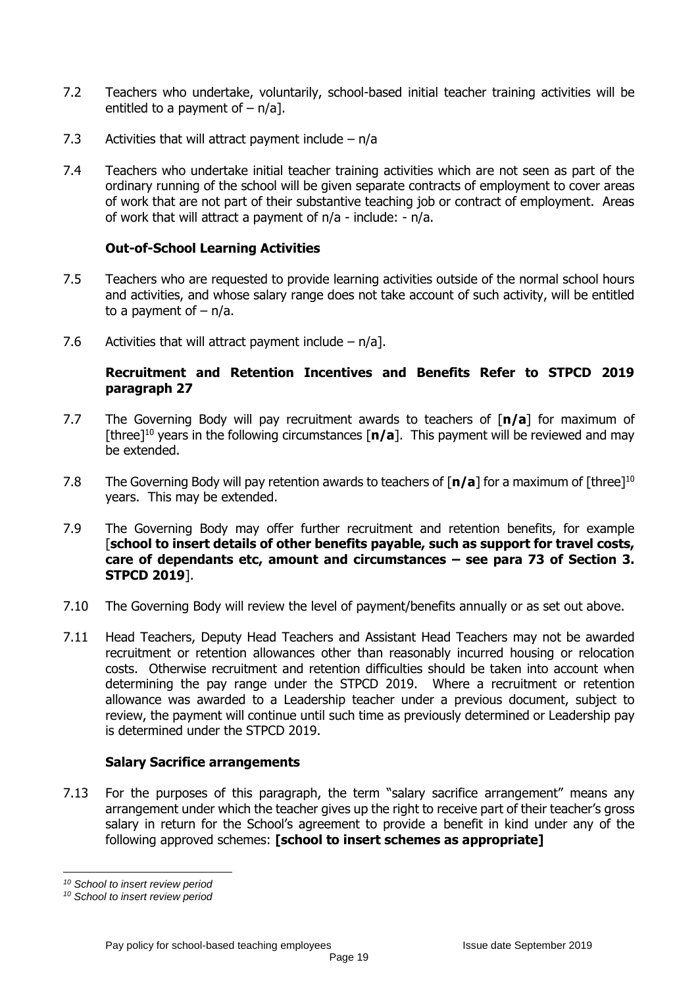- 7.2 Teachers who undertake, voluntarily, school-based initial teacher training activities will be entitled to a payment of  $-$  n/al.
- 7.3 Activities that will attract payment include  $n/a$
- 7.4 Teachers who undertake initial teacher training activities which are not seen as part of the ordinary running of the school will be given separate contracts of employment to cover areas of work that are not part of their substantive teaching job or contract of employment. Areas of work that will attract a payment of n/a - include: - n/a.

#### **Out-of-School Learning Activities**

- 7.5 Teachers who are requested to provide learning activities outside of the normal school hours and activities, and whose salary range does not take account of such activity, will be entitled to a payment of  $- n/a$ .
- 7.6 Activities that will attract payment include n/a].

#### **Recruitment and Retention Incentives and Benefits Refer to STPCD 2019 paragraph 27**

- 7.7 The Governing Body will pay recruitment awards to teachers of [**n/a**] for maximum of [three]<sup>10</sup> years in the following circumstances  $\lceil n/a \rceil$ . This payment will be reviewed and may be extended.
- 7.8 The Governing Body will pay retention awards to teachers of [**n/a**] for a maximum of [three]<sup>10</sup> years. This may be extended.
- 7.9 The Governing Body may offer further recruitment and retention benefits, for example [**school to insert details of other benefits payable, such as support for travel costs, care of dependants etc, amount and circumstances – see para 73 of Section 3. STPCD 2019**].
- 7.10 The Governing Body will review the level of payment/benefits annually or as set out above.
- 7.11 Head Teachers, Deputy Head Teachers and Assistant Head Teachers may not be awarded recruitment or retention allowances other than reasonably incurred housing or relocation costs. Otherwise recruitment and retention difficulties should be taken into account when determining the pay range under the STPCD 2019. Where a recruitment or retention allowance was awarded to a Leadership teacher under a previous document, subject to review, the payment will continue until such time as previously determined or Leadership pay is determined under the STPCD 2019.

#### **Salary Sacrifice arrangements**

7.13 For the purposes of this paragraph, the term "salary sacrifice arrangement" means any arrangement under which the teacher gives up the right to receive part of their teacher's gross salary in return for the School's agreement to provide a benefit in kind under any of the following approved schemes: **[school to insert schemes as appropriate]**

<sup>1</sup> *<sup>10</sup> School to insert review period*

*<sup>10</sup> School to insert review period*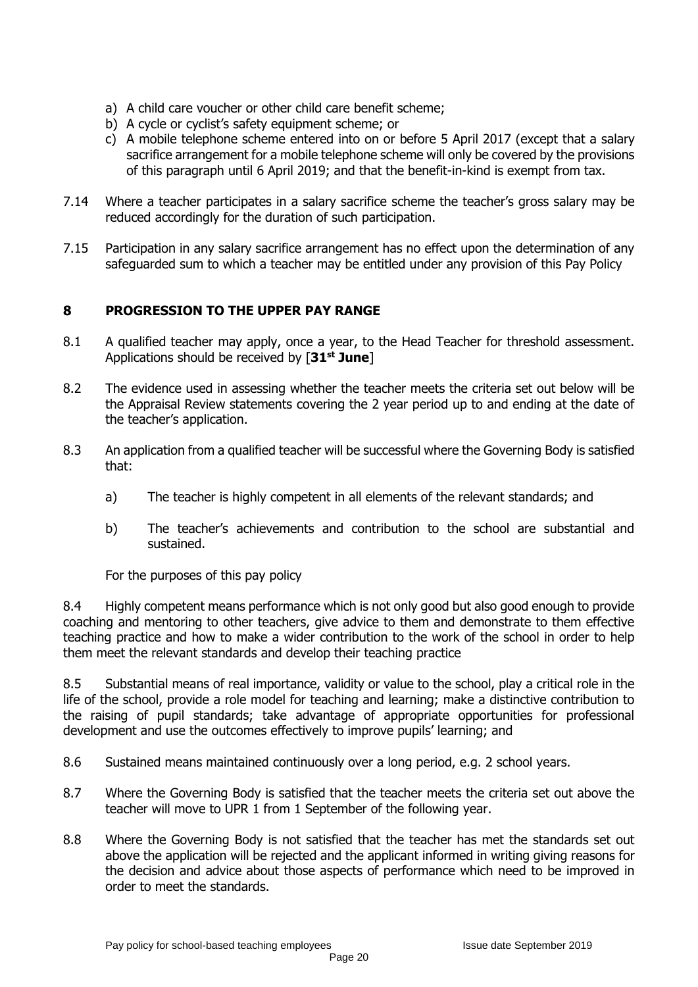- a) A child care voucher or other child care benefit scheme;
- b) A cycle or cyclist's safety equipment scheme; or
- c) A mobile telephone scheme entered into on or before 5 April 2017 (except that a salary sacrifice arrangement for a mobile telephone scheme will only be covered by the provisions of this paragraph until 6 April 2019; and that the benefit-in-kind is exempt from tax.
- 7.14 Where a teacher participates in a salary sacrifice scheme the teacher's gross salary may be reduced accordingly for the duration of such participation.
- 7.15 Participation in any salary sacrifice arrangement has no effect upon the determination of any safeguarded sum to which a teacher may be entitled under any provision of this Pay Policy

# **8 PROGRESSION TO THE UPPER PAY RANGE**

- 8.1 A qualified teacher may apply, once a year, to the Head Teacher for threshold assessment. Applications should be received by [**31st June**]
- 8.2 The evidence used in assessing whether the teacher meets the criteria set out below will be the Appraisal Review statements covering the 2 year period up to and ending at the date of the teacher's application.
- 8.3 An application from a qualified teacher will be successful where the Governing Body is satisfied that:
	- a) The teacher is highly competent in all elements of the relevant standards; and
	- b) The teacher's achievements and contribution to the school are substantial and sustained.

For the purposes of this pay policy

8.4 Highly competent means performance which is not only good but also good enough to provide coaching and mentoring to other teachers, give advice to them and demonstrate to them effective teaching practice and how to make a wider contribution to the work of the school in order to help them meet the relevant standards and develop their teaching practice

8.5 Substantial means of real importance, validity or value to the school, play a critical role in the life of the school, provide a role model for teaching and learning; make a distinctive contribution to the raising of pupil standards; take advantage of appropriate opportunities for professional development and use the outcomes effectively to improve pupils' learning; and

- 8.6 Sustained means maintained continuously over a long period, e.g. 2 school years.
- 8.7 Where the Governing Body is satisfied that the teacher meets the criteria set out above the teacher will move to UPR 1 from 1 September of the following year.
- 8.8 Where the Governing Body is not satisfied that the teacher has met the standards set out above the application will be rejected and the applicant informed in writing giving reasons for the decision and advice about those aspects of performance which need to be improved in order to meet the standards.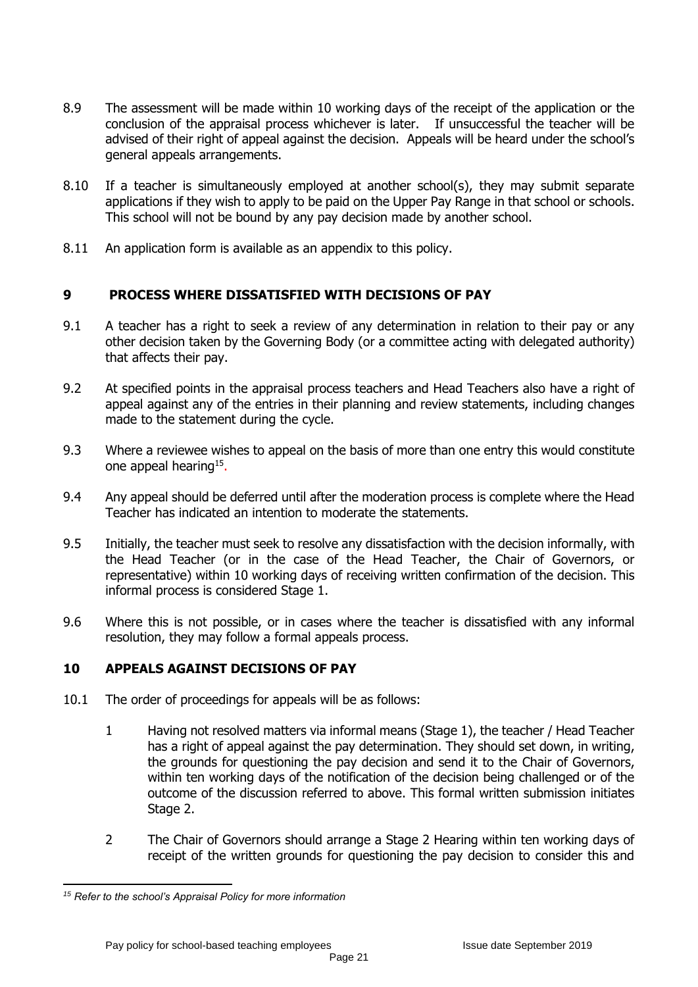- 8.9 The assessment will be made within 10 working days of the receipt of the application or the conclusion of the appraisal process whichever is later. If unsuccessful the teacher will be advised of their right of appeal against the decision. Appeals will be heard under the school's general appeals arrangements.
- 8.10 If a teacher is simultaneously employed at another school(s), they may submit separate applications if they wish to apply to be paid on the Upper Pay Range in that school or schools. This school will not be bound by any pay decision made by another school.
- 8.11 An application form is available as an appendix to this policy.

# **9 PROCESS WHERE DISSATISFIED WITH DECISIONS OF PAY**

- 9.1 A teacher has a right to seek a review of any determination in relation to their pay or any other decision taken by the Governing Body (or a committee acting with delegated authority) that affects their pay.
- 9.2 At specified points in the appraisal process teachers and Head Teachers also have a right of appeal against any of the entries in their planning and review statements, including changes made to the statement during the cycle.
- 9.3 Where a reviewee wishes to appeal on the basis of more than one entry this would constitute one appeal hearing<sup>15</sup>.
- 9.4 Any appeal should be deferred until after the moderation process is complete where the Head Teacher has indicated an intention to moderate the statements.
- 9.5 Initially, the teacher must seek to resolve any dissatisfaction with the decision informally, with the Head Teacher (or in the case of the Head Teacher, the Chair of Governors, or representative) within 10 working days of receiving written confirmation of the decision. This informal process is considered Stage 1.
- 9.6 Where this is not possible, or in cases where the teacher is dissatisfied with any informal resolution, they may follow a formal appeals process.

# **10 APPEALS AGAINST DECISIONS OF PAY**

- 10.1 The order of proceedings for appeals will be as follows:
	- 1 Having not resolved matters via informal means (Stage 1), the teacher / Head Teacher has a right of appeal against the pay determination. They should set down, in writing, the grounds for questioning the pay decision and send it to the Chair of Governors, within ten working days of the notification of the decision being challenged or of the outcome of the discussion referred to above. This formal written submission initiates Stage 2.
	- 2 The Chair of Governors should arrange a Stage 2 Hearing within ten working days of receipt of the written grounds for questioning the pay decision to consider this and

<sup>1</sup> *<sup>15</sup> Refer to the school's Appraisal Policy for more information*